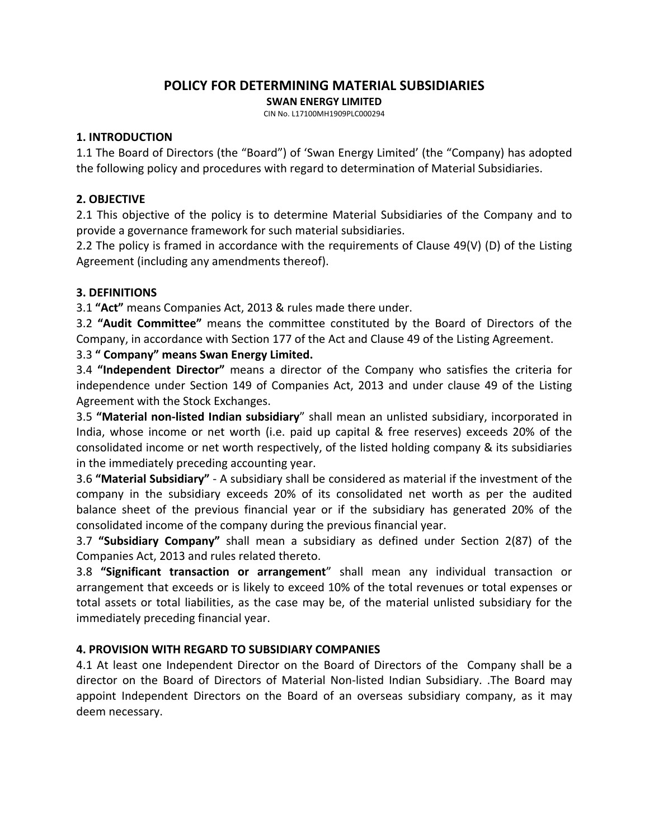# **POLICY FOR DETERMINING MATERIAL SUBSIDIARIES**

**SWAN ENERGY LIMITED**

CIN No. L17100MH1909PLC000294

#### **1. INTRODUCTION**

1.1 The Board of Directors (the "Board") of 'Swan Energy Limited' (the "Company) has adopted the following policy and procedures with regard to determination of Material Subsidiaries.

#### **2. OBJECTIVE**

2.1 This objective of the policy is to determine Material Subsidiaries of the Company and to provide a governance framework for such material subsidiaries.

2.2 The policy is framed in accordance with the requirements of Clause 49(V) (D) of the Listing Agreement (including any amendments thereof).

### **3. DEFINITIONS**

3.1 **"Act"** means Companies Act, 2013 & rules made there under.

3.2 **"Audit Committee"** means the committee constituted by the Board of Directors of the Company, in accordance with Section 177 of the Act and Clause 49 of the Listing Agreement.

### 3.3 **" Company" means Swan Energy Limited.**

3.4 **"Independent Director"** means a director of the Company who satisfies the criteria for independence under Section 149 of Companies Act, 2013 and under clause 49 of the Listing Agreement with the Stock Exchanges.

3.5 **"Material non‐listed Indian subsidiary**" shall mean an unlisted subsidiary, incorporated in India, whose income or net worth (i.e. paid up capital & free reserves) exceeds 20% of the consolidated income or net worth respectively, of the listed holding company & its subsidiaries in the immediately preceding accounting year.

3.6 **"Material Subsidiary"** ‐ A subsidiary shall be considered as material if the investment of the company in the subsidiary exceeds 20% of its consolidated net worth as per the audited balance sheet of the previous financial year or if the subsidiary has generated 20% of the consolidated income of the company during the previous financial year.

3.7 **"Subsidiary Company"** shall mean a subsidiary as defined under Section 2(87) of the Companies Act, 2013 and rules related thereto.

3.8 **"Significant transaction or arrangement**" shall mean any individual transaction or arrangement that exceeds or is likely to exceed 10% of the total revenues or total expenses or total assets or total liabilities, as the case may be, of the material unlisted subsidiary for the immediately preceding financial year.

### **4. PROVISION WITH REGARD TO SUBSIDIARY COMPANIES**

4.1 At least one Independent Director on the Board of Directors of the Company shall be a director on the Board of Directors of Material Non‐listed Indian Subsidiary. .The Board may appoint Independent Directors on the Board of an overseas subsidiary company, as it may deem necessary.